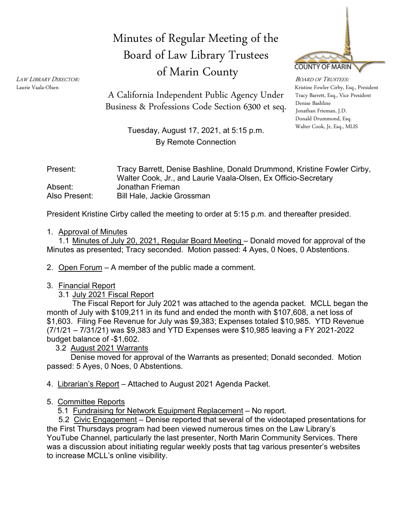# Minutes of Regular Meeting of the Board of Law Library Trustees of Marin County



LAW LIBRARY DIRECTOR:<br>Laurie Vaala-Olsen Kristine Fowler Cirby, Esq., President Tracy Barrett, Esq., Vice President Denise Bashline Donald Drummond, Esq. Walter Cook, Jr, Esq., MLIS

Business & Professions Code Section 6300 et seq. Denise Bashline A California Independent Public Agency Under

> Tuesday, August 17, 2021, at 5:15 p.m. By Remote Connection

| Present:      | Tracy Barrett, Denise Bashline, Donald Drummond, Kristine Fowler Cirby,<br>Walter Cook, Jr., and Laurie Vaala-Olsen, Ex Officio-Secretary |
|---------------|-------------------------------------------------------------------------------------------------------------------------------------------|
| Absent:       | Jonathan Frieman                                                                                                                          |
| Also Present: | <b>Bill Hale, Jackie Grossman</b>                                                                                                         |

President Kristine Cirby called the meeting to order at 5:15 p.m. and thereafter presided.

### 1. Approval of Minutes

1.1 Minutes of July 20, 2021, Regular Board Meeting – Donald moved for approval of the Minutes as presented; Tracy seconded. Motion passed: 4 Ayes, 0 Noes, 0 Abstentions.

2. Open Forum – A member of the public made a comment.

### 3. Financial Report

3.1 July 2021 Fiscal Report

The Fiscal Report for July 2021 was attached to the agenda packet. MCLL began the month of July with \$109,211 in its fund and ended the month with \$107,608, a net loss of \$1,603. Filing Fee Revenue for July was \$9,383; Expenses totaled \$10,985. YTD Revenue (7/1/21 – 7/31/21) was \$9,383 and YTD Expenses were \$10,985 leaving a FY 2021-2022 budget balance of -\$1,602.

3.2 August 2021 Warrants

 Denise moved for approval of the Warrants as presented; Donald seconded. Motion passed: 5 Ayes, 0 Noes, 0 Abstentions.

4. Librarian's Report – Attached to August 2021 Agenda Packet.

### 5. Committee Reports

5.1 Fundraising for Network Equipment Replacement – No report.

5.2 Civic Engagement - Denise reported that several of the videotaped presentations for the First Thursdays program had been viewed numerous times on the Law Library's YouTube Channel, particularly the last presenter, North Marin Community Services. There was a discussion about initiating regular weekly posts that tag various presenter's websites to increase MCLL's online visibility.